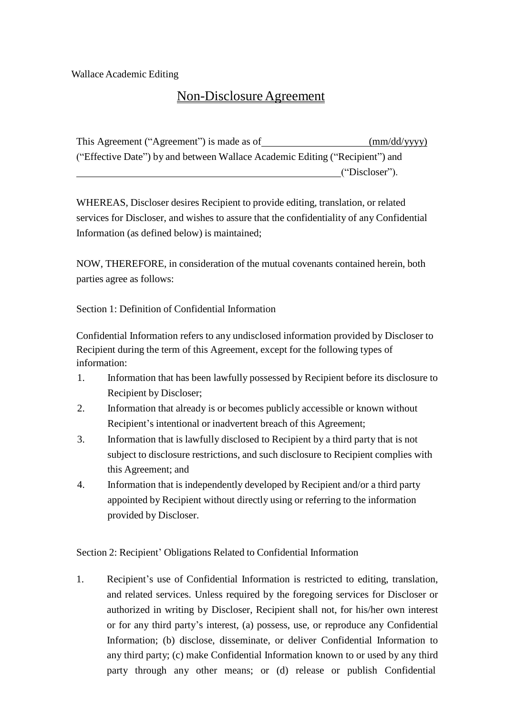Wallace Academic Editing

## Non-DisclosureAgreement

This Agreement ("Agreement") is made as of (mm/dd/yyyy) ("Effective Date") by and between Wallace Academic Editing ("Recipient") and ("Discloser").

WHEREAS, Discloser desires Recipient to provide editing, translation, or related services for Discloser, and wishes to assure that the confidentiality of any Confidential Information (as defined below) is maintained;

NOW, THEREFORE, in consideration of the mutual covenants contained herein, both parties agree as follows:

Section 1: Definition of Confidential Information

Confidential Information refers to any undisclosed information provided by Discloser to Recipient during the term of this Agreement, except for the following types of information:

- 1. Information that has been lawfully possessed by Recipient before its disclosure to Recipient by Discloser;
- 2. Information that already is or becomes publicly accessible or known without Recipient's intentional or inadvertent breach of this Agreement;
- 3. Information that is lawfully disclosed to Recipient by a third party that is not subject to disclosure restrictions, and such disclosure to Recipient complies with this Agreement; and
- 4. Information that is independently developed by Recipient and/or a third party appointed by Recipient without directly using or referring to the information provided by Discloser.

Section 2: Recipient' Obligations Related to Confidential Information

1. Recipient's use of Confidential Information is restricted to editing, translation, and related services. Unless required by the foregoing services for Discloser or authorized in writing by Discloser, Recipient shall not, for his/her own interest or for any third party's interest, (a) possess, use, or reproduce any Confidential Information; (b) disclose, disseminate, or deliver Confidential Information to any third party; (c) make Confidential Information known to or used by any third party through any other means; or (d) release or publish Confidential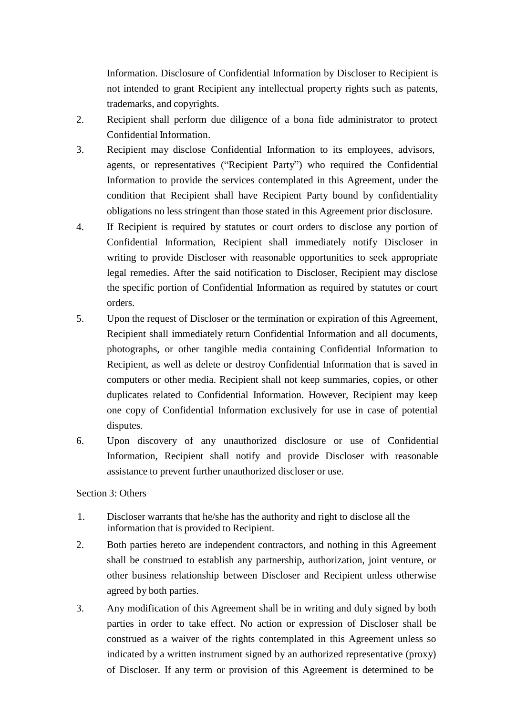Information. Disclosure of Confidential Information by Discloser to Recipient is not intended to grant Recipient any intellectual property rights such as patents, trademarks, and copyrights.

- 2. Recipient shall perform due diligence of a bona fide administrator to protect Confidential Information.
- 3. Recipient may disclose Confidential Information to its employees, advisors, agents, or representatives ("Recipient Party") who required the Confidential Information to provide the services contemplated in this Agreement, under the condition that Recipient shall have Recipient Party bound by confidentiality obligations no less stringent than those stated in this Agreement prior disclosure.
- 4. If Recipient is required by statutes or court orders to disclose any portion of Confidential Information, Recipient shall immediately notify Discloser in writing to provide Discloser with reasonable opportunities to seek appropriate legal remedies. After the said notification to Discloser, Recipient may disclose the specific portion of Confidential Information as required by statutes or court orders.
- 5. Upon the request of Discloser or the termination or expiration of this Agreement, Recipient shall immediately return Confidential Information and all documents, photographs, or other tangible media containing Confidential Information to Recipient, as well as delete or destroy Confidential Information that is saved in computers or other media. Recipient shall not keep summaries, copies, or other duplicates related to Confidential Information. However, Recipient may keep one copy of Confidential Information exclusively for use in case of potential disputes.
- 6. Upon discovery of any unauthorized disclosure or use of Confidential Information, Recipient shall notify and provide Discloser with reasonable assistance to prevent further unauthorized discloser or use.

## Section 3: Others

- 1. Discloser warrants that he/she has the authority and right to disclose all the information that is provided to Recipient.
- 2. Both parties hereto are independent contractors, and nothing in this Agreement shall be construed to establish any partnership, authorization, joint venture, or other business relationship between Discloser and Recipient unless otherwise agreed by both parties.
- 3. Any modification of this Agreement shall be in writing and duly signed by both parties in order to take effect. No action or expression of Discloser shall be construed as a waiver of the rights contemplated in this Agreement unless so indicated by a written instrument signed by an authorized representative (proxy) of Discloser. If any term or provision of this Agreement is determined to be